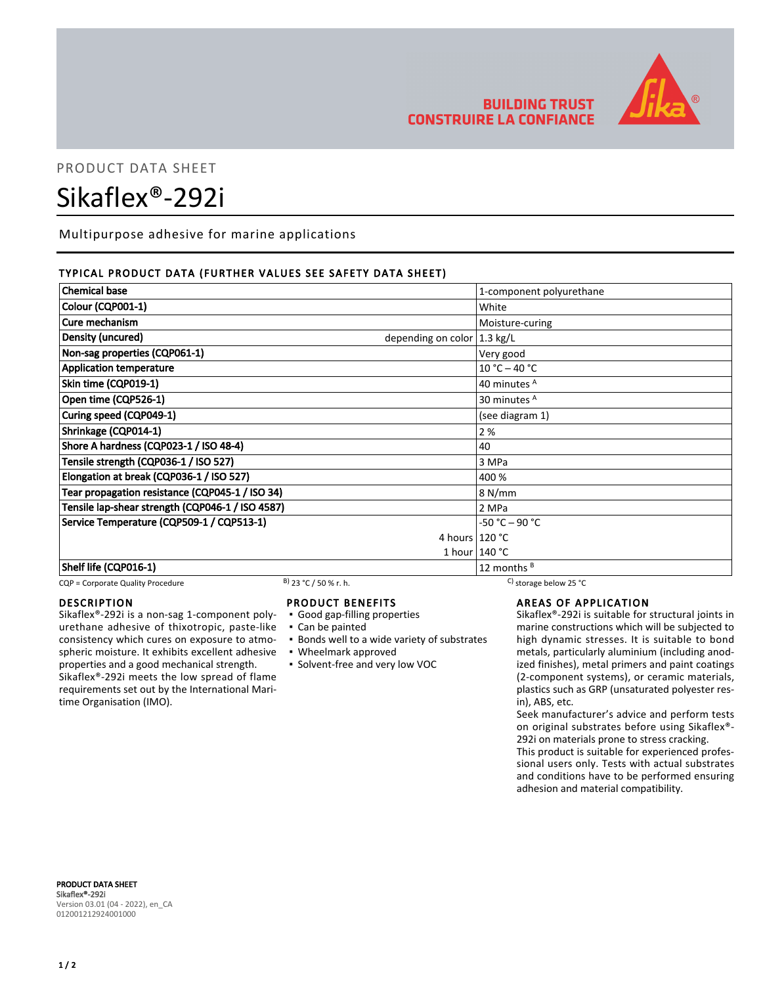

## PRODUCT DATA SHEET

# Sikaflex®-292i

Multipurpose adhesive for marine applications

#### TYPICAL PRODUCT DATA (FURTHER VALUES SEE SAFETY DATA SHEET)

| <b>Chemical base</b>                             | 1-component polyurethane |
|--------------------------------------------------|--------------------------|
| Colour (CQP001-1)                                | White                    |
| Cure mechanism                                   | Moisture-curing          |
| Density (uncured)<br>depending on color 1.3 kg/L |                          |
| Non-sag properties (CQP061-1)                    | Very good                |
| <b>Application temperature</b>                   | $10 °C - 40 °C$          |
| Skin time (CQP019-1)                             | 40 minutes <sup>A</sup>  |
| Open time (CQP526-1)                             | 30 minutes <sup>A</sup>  |
| Curing speed (CQP049-1)                          | (see diagram 1)          |
| Shrinkage (CQP014-1)                             | 2 %                      |
| Shore A hardness (CQP023-1 / ISO 48-4)           | 40                       |
| Tensile strength (CQP036-1 / ISO 527)            | 3 MPa                    |
| Elongation at break (CQP036-1 / ISO 527)         | 400 %                    |
| Tear propagation resistance (CQP045-1 / ISO 34)  | 8 N/mm                   |
| Tensile lap-shear strength (CQP046-1 / ISO 4587) | 2 MPa                    |
| Service Temperature (CQP509-1 / CQP513-1)        | $-50 °C - 90 °C$         |
| 4 hours 120 °C                                   |                          |
|                                                  | 1 hour $140 °C$          |
| Shelf life (CQP016-1)                            | 12 months $B$            |

CQP = Corporate Quality Procedure B)  $23 °C$  / 50 % r. h. C) storage below 25 °C

#### DESCRIPTION

Sikaflex®-292i is a non-sag 1-component polyurethane adhesive of thixotropic, paste-like consistency which cures on exposure to atmospheric moisture. It exhibits excellent adhesive properties and a good mechanical strength. Sikaflex®-292i meets the low spread of flame requirements set out by the International Maritime Organisation (IMO).

### PRODUCT BENEFITS

- Good gap-filling properties
- Can be painted
- **.** Bonds well to a wide variety of substrates
- Wheelmark approved
- Solvent-free and very low VOC

#### AREAS OF APPLICATION

Sikaflex®-292i is suitable for structural joints in marine constructions which will be subjected to high dynamic stresses. It is suitable to bond metals, particularly aluminium (including anodized finishes), metal primers and paint coatings (2-component systems), or ceramic materials, plastics such as GRP (unsaturated polyester resin), ABS, etc.

Seek manufacturer's advice and perform tests on original substrates before using Sikaflex®- 292i on materials prone to stress cracking.

This product is suitable for experienced professional users only. Tests with actual substrates and conditions have to be performed ensuring adhesion and material compatibility.

PRODUCT DATA SHEET Sikaflex®-292i Version 03.01 (04 - 2022), en\_CA 012001212924001000